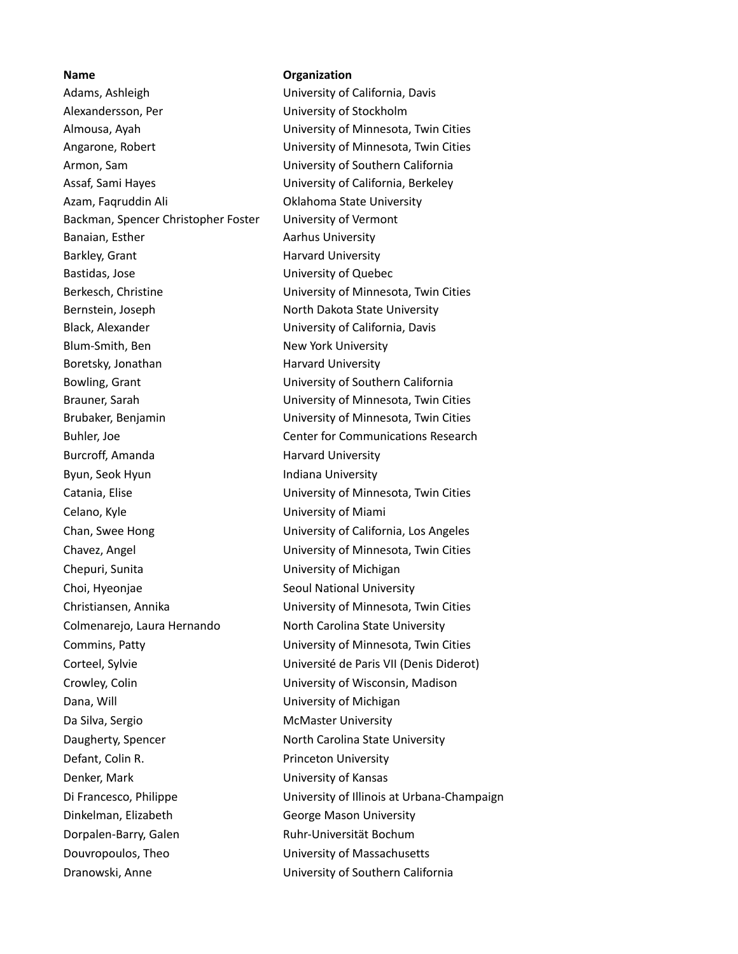**Name Organization** Adams, Ashleigh University of California, Davis Alexandersson, Per University of Stockholm Almousa, Ayah University of Minnesota, Twin Cities Angarone, Robert University of Minnesota, Twin Cities Armon, Sam University of Southern California Assaf, Sami Hayes University of California, Berkeley Azam, Faqruddin Ali Oklahoma State University Backman, Spencer Christopher Foster University of Vermont Banaian, Esther **Aarhus University** Barkley, Grant **Harvard University** Bastidas, Jose University of Quebec Berkesch, Christine University of Minnesota, Twin Cities Bernstein, Joseph North Dakota State University Black, Alexander University of California, Davis Blum-Smith, Ben New York University Boretsky, Jonathan Harvard University Bowling, Grant University of Southern California Brauner, Sarah University of Minnesota, Twin Cities Brubaker, Benjamin University of Minnesota, Twin Cities Buhler, Joe Center for Communications Research Burcroff, Amanda Harvard University Byun, Seok Hyun **Indiana University** Catania, Elise University of Minnesota, Twin Cities Celano, Kyle University of Miami Chan, Swee Hong University of California, Los Angeles Chavez, Angel University of Minnesota, Twin Cities Chepuri, Sunita **Victor** University of Michigan Choi, Hyeonjae Seoul National University Christiansen, Annika University of Minnesota, Twin Cities Colmenarejo, Laura Hernando North Carolina State University Commins, Patty University of Minnesota, Twin Cities Corteel, Sylvie Université de Paris VII (Denis Diderot) Crowley, Colin University of Wisconsin, Madison Dana, Will **Dana**, Will **Dana**, Will **Dana**, Will **Dana** Da Silva, Sergio **McMaster University** Daugherty, Spencer North Carolina State University Defant, Colin R. **Princeton University** Denker, Mark **Nark Communisties** University of Kansas Dinkelman, Elizabeth George Mason University Dorpalen-Barry, Galen Ruhr-Universität Bochum Douvropoulos, Theo University of Massachusetts Dranowski, Anne University of Southern California

Di Francesco, Philippe University of Illinois at Urbana-Champaign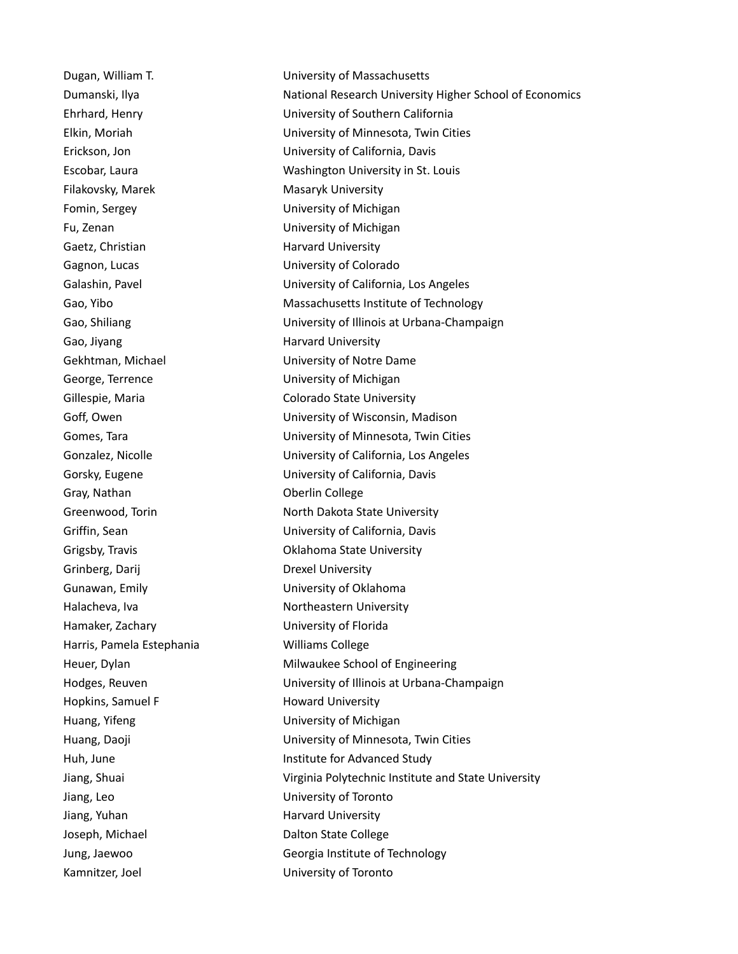Filakovsky, Marek Masaryk University Fomin, Sergey The Communication Communication University of Michigan Fu, Zenan University of Michigan Gaetz, Christian **Harvard University** Gagnon, Lucas University of Colorado Gao, Jiyang **Harvard University** George, Terrence University of Michigan Gray, Nathan **Oberlin** College Grinberg, Darij Drexel University Gunawan, Emily **Example 20** Emily University of Oklahoma Hamaker, Zachary University of Florida Harris, Pamela Estephania Williams College Hopkins, Samuel F Howard University Huang, Yifeng The Communist Control University of Michigan Jiang, Leo University of Toronto Jiang, Yuhan Harvard University Joseph, Michael **Dalton State College** Kamnitzer, Joel **Namnitzer, Joel Communisty of Toronto** 

Dugan, William T. University of Massachusetts Dumanski, Ilya National Research University Higher School of Economics Ehrhard, Henry University of Southern California Elkin, Moriah University of Minnesota, Twin Cities Erickson, Jon University of California, Davis Escobar, Laura Washington University in St. Louis Galashin, Pavel **Entity Collection** University of California, Los Angeles Gao, Yibo **Massachusetts Institute of Technology** Gao, Shiliang **Cao, Shiliang** University of Illinois at Urbana-Champaign Gekhtman, Michael **East Controller Controller University of Notre Dame** Gillespie, Maria **Colorado State University** Goff, Owen **University of Wisconsin, Madison** Gomes, Tara University of Minnesota, Twin Cities Gonzalez, Nicolle University of California, Los Angeles Gorsky, Eugene University of California, Davis Greenwood, Torin North Dakota State University Griffin, Sean University of California, Davis Grigsby, Travis Oklahoma State University Halacheva, Iva Northeastern University Heuer, Dylan Milwaukee School of Engineering Hodges, Reuven University of Illinois at Urbana-Champaign Huang, Daoji University of Minnesota, Twin Cities Huh, June **Institute for Advanced Study** Jiang, Shuai Virginia Polytechnic Institute and State University Jung, Jaewoo Georgia Institute of Technology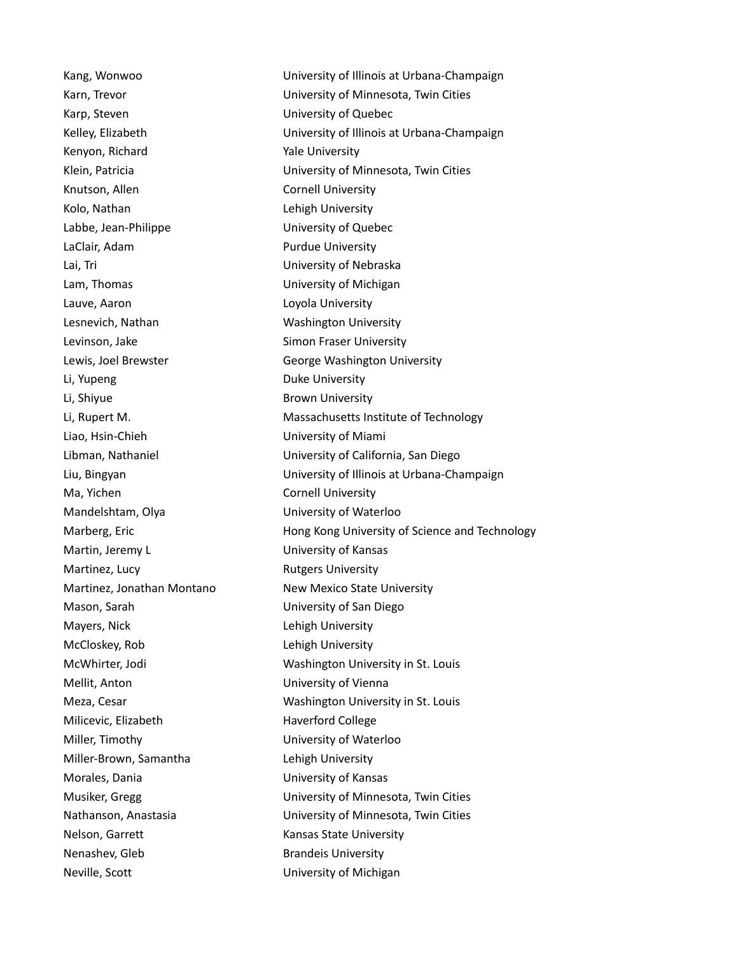Karp, Steven **Example 20** Steven University of Quebec Kenyon, Richard Yale University Knutson, Allen Cornell University Kolo, Nathan **Lehigh University** Labbe, Jean-Philippe University of Quebec LaClair, Adam **Purdue University** Lai, Tri **Nebraska** University of Nebraska Lam, Thomas **Lam, Thomas** University of Michigan Lauve, Aaron **Lauve, Aaron** Loyola University Lesnevich, Nathan Washington University Levinson, Jake Simon Fraser University Li, Yupeng **Duke University** Li, Shiyue **Brown University** Liao, Hsin-Chieh University of Miami Ma, Yichen Cornell University Mandelshtam, Olya University of Waterloo Martin, Jeremy L<br>
University of Kansas Martinez, Lucy **Rutgers University** Mason, Sarah University of San Diego Mayers, Nick **Lehigh University** McCloskey, Rob Lehigh University Mellit, Anton **Mellit**, Anton **Nellit**, Anton Milicevic, Elizabeth Haverford College Miller, Timothy University of Waterloo Miller-Brown, Samantha Lehigh University Morales, Dania University of Kansas Nelson, Garrett **Kansas State University** Nenashev, Gleb Brandeis University Neville, Scott **Neville**, Scott **Neville**, Scott **Neville**, Scott **New Scott University of Michigan** 

Kang, Wonwoo University of Illinois at Urbana-Champaign Karn, Trevor University of Minnesota, Twin Cities Kelley, Elizabeth University of Illinois at Urbana-Champaign Klein, Patricia University of Minnesota, Twin Cities Lewis, Joel Brewster **George Washington University** Li, Rupert M. Massachusetts Institute of Technology Libman, Nathaniel University of California, San Diego Liu, Bingyan University of Illinois at Urbana-Champaign Marberg, Eric **Hong Kong University of Science and Technology** Martinez, Jonathan Montano New Mexico State University McWhirter, Jodi Washington University in St. Louis Meza, Cesar Washington University in St. Louis Musiker, Gregg University of Minnesota, Twin Cities Nathanson, Anastasia University of Minnesota, Twin Cities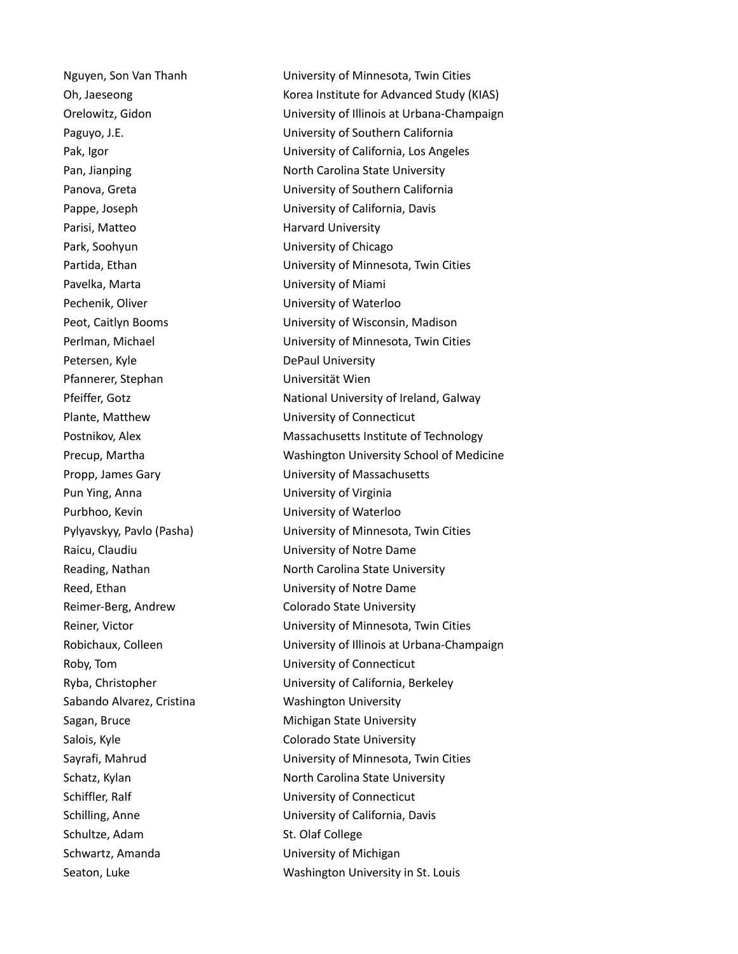Parisi, Matteo **Harvard University** Park, Soohyun University of Chicago Pavelka, Marta **National Communisties** University of Miami Pechenik, Oliver **National Contract Contract Contract Contract Contract Contract Contract Contract Contract Contract Contract Contract Contract Contract Contract Contract Contract Contract Contract Contract Contract Contra** Petersen, Kyle **DePaul University** Pfannerer, Stephan Universität Wien Plante, Matthew University of Connecticut Pun Ying, Anna University of Virginia Purbhoo, Kevin **Purbhoo**, Kevin **Example 20** Nuniversity of Waterloo Raicu, Claudiu **National Exercise Claudiu** University of Notre Dame Reed, Ethan University of Notre Dame Reimer-Berg, Andrew Colorado State University Roby, Tom University of Connecticut Sabando Alvarez, Cristina Washington University Sagan, Bruce **Michigan State University** Salois, Kyle Colorado State University Schiffler, Ralf **Exercise 2018** University of Connecticut Schultze, Adam St. Olaf College Schwartz, Amanda **Exercise Schwartz, Amanda** University of Michigan

Nguyen, Son Van Thanh University of Minnesota, Twin Cities Oh, Jaeseong The Control of the Korea Institute for Advanced Study (KIAS) Orelowitz, Gidon University of Illinois at Urbana-Champaign Paguyo, J.E. University of Southern California Pak, Igor University of California, Los Angeles Pan, Jianping North Carolina State University Panova, Greta **Network** University of Southern California Pappe, Joseph **Engles** University of California, Davis Partida, Ethan University of Minnesota, Twin Cities Peot, Caitlyn Booms University of Wisconsin, Madison Perlman, Michael University of Minnesota, Twin Cities Pfeiffer, Gotz **National University of Ireland, Galway** Postnikov, Alex **Massachusetts Institute of Technology** Precup, Martha Washington University School of Medicine Propp, James Gary University of Massachusetts Pylyavskyy, Pavlo (Pasha) University of Minnesota, Twin Cities Reading, Nathan North Carolina State University Reiner, Victor University of Minnesota, Twin Cities Robichaux, Colleen University of Illinois at Urbana-Champaign Ryba, Christopher University of California, Berkeley Sayrafi, Mahrud University of Minnesota, Twin Cities Schatz, Kylan North Carolina State University Schilling, Anne University of California, Davis Seaton, Luke Washington University in St. Louis